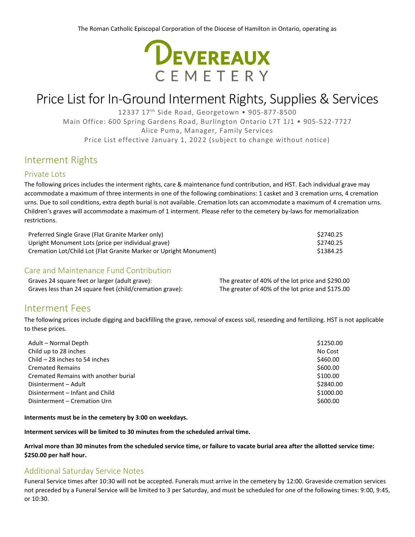

# Price List for In-Ground Interment Rights, Supplies & Services

12337 17th Side Road, Georgetown • 905-877-8500 Main Office: 600 Spring Gardens Road, Burlington Ontario L7T 1J1 • 905-522-7727 Alice Puma, Manager, Family Services Price List effective January 1, 2022 (subject to change without notice)

## Interment Rights

### Private Lots

The following prices includes the interment rights, care & maintenance fund contribution, and HST. Each individual grave may accommodate a maximum of three interments in one of the following combinations: 1 casket and 3 cremation urns, 4 cremation urns. Due to soil conditions, extra depth burial is not available. Cremation lots can accommodate a maximum of 4 cremation urns. Children's graves will accommodate a maximum of 1 interment. Please refer to the cemetery by-laws for memorialization restrictions.

| Preferred Single Grave (Flat Granite Marker only)                 | \$2740.25 |
|-------------------------------------------------------------------|-----------|
| Upright Monument Lots (price per individual grave)                | \$2740.25 |
| Cremation Lot/Child Lot (Flat Granite Marker or Upright Monument) | \$1384.25 |

### Care and Maintenance Fund Contribution

| Graves 24 square feet or larger (adult grave):           | The greater of 40% of the lot price and \$290.00 |
|----------------------------------------------------------|--------------------------------------------------|
| Graves less than 24 square feet (child/cremation grave): | The greater of 40% of the lot price and \$175.00 |

## Interment Fees

The following prices include digging and backfilling the grave, removal of excess soil, reseeding and fertilizing. HST is not applicable to these prices.

| Adult - Normal Depth                 | \$1250.00 |
|--------------------------------------|-----------|
| Child up to 28 inches                | No Cost   |
| Child $-28$ inches to 54 inches      | \$460.00  |
| <b>Cremated Remains</b>              | \$600.00  |
| Cremated Remains with another burial | \$100.00  |
| Disinterment - Adult                 | \$2840.00 |
| Disinterment - Infant and Child      | \$1000.00 |
| Disinterment - Cremation Urn         | \$600.00  |

**Interments must be in the cemetery by 3:00 on weekdays.**

**Interment services will be limited to 30 minutes from the scheduled arrival time.**

**Arrival more than 30 minutes from the scheduled service time, or failure to vacate burial area after the allotted service time: \$250.00 per half hour.**

#### Additional Saturday Service Notes

Funeral Service times after 10:30 will not be accepted. Funerals must arrive in the cemetery by 12:00. Graveside cremation services not preceded by a Funeral Service will be limited to 3 per Saturday, and must be scheduled for one of the following times: 9:00, 9:45, or 10:30.